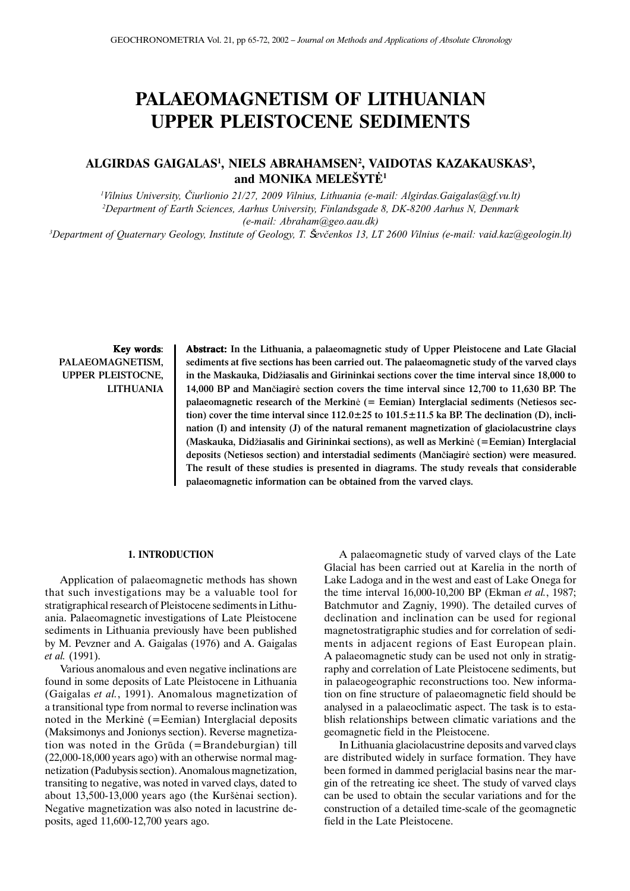# **PALAEOMAGNETISM OF LITHUANIAN UPPER PLEISTOCENE SEDIMENTS**

## **ALGIRDAS GAIGALAS1 , NIELS ABRAHAMSEN2 , VAIDOTAS KAZAKAUSKAS3 , and MONIKA MELE**Ð**YT**Ë**<sup>1</sup>**

1 Vilnius University, Èiurlionio 21/27, 2009 Vilnius, Lithuania (e-mail: Algirdas.Gaigalas@gf.vu.lt) 2 Department of Earth Sciences, Aarhus University, Finlandsgade 8, DK-8200 Aarhus N, Denmark (e-mail: Abraham@geo.aau.dk)

3 Department of Quaternary Geology, Institute of Geology, T. Ševèenkos 13, LT 2600 Vilnius (e-mail: vaid.kaz@geologin.lt)

Key words: PALAEOMAGNETISM, UPPER PLEISTOCNE, LITHUANIA Abstract: In the Lithuania, a palaeomagnetic study of Upper Pleistocene and Late Glacial sediments at five sections has been carried out. The palaeomagnetic study of the varved clays in the Maskauka, Didžiasalis and Girininkai sections cover the time interval since 18,000 to 14,000 BP and Manèiagirë section covers the time interval since 12,700 to 11,630 BP. The palaeomagnetic research of the Merkinë (= Eemian) Interglacial sediments (Netiesos section) cover the time interval since  $112.0 \pm 25$  to  $101.5 \pm 11.5$  ka BP. The declination (D), inclination (I) and intensity (J) of the natural remanent magnetization of glaciolacustrine clays (Maskauka, Didžiasalis and Girininkai sections), as well as Merkinė (=Eemian) Interglacial deposits (Netiesos section) and interstadial sediments (Manèiagirë section) were measured. The result of these studies is presented in diagrams. The study reveals that considerable palaeomagnetic information can be obtained from the varved clays.

### **1. INTRODUCTION**

Application of palaeomagnetic methods has shown that such investigations may be a valuable tool for stratigraphical research of Pleistocene sediments in Lithuania. Palaeomagnetic investigations of Late Pleistocene sediments in Lithuania previously have been published by M. Pevzner and A. Gaigalas (1976) and A. Gaigalas *et al.* (1991).

Various anomalous and even negative inclinations are found in some deposits of Late Pleistocene in Lithuania (Gaigalas *et al.*, 1991). Anomalous magnetization of a transitional type from normal to reverse inclination was noted in the Merkinë (=Eemian) Interglacial deposits (Maksimonys and Jonionys section). Reverse magnetization was noted in the Grûda (=Brandeburgian) till (22,000-18,000 years ago) with an otherwise normal magnetization (Padubysis section). Anomalous magnetization, transiting to negative, was noted in varved clays, dated to about 13,500-13,000 years ago (the Kurðënai section). Negative magnetization was also noted in lacustrine deposits, aged 11,600-12,700 years ago.

A palaeomagnetic study of varved clays of the Late Glacial has been carried out at Karelia in the north of Lake Ladoga and in the west and east of Lake Onega for the time interval 16,000-10,200 BP (Ekman *et al.*, 1987; Batchmutor and Zagniy, 1990). The detailed curves of declination and inclination can be used for regional magnetostratigraphic studies and for correlation of sediments in adjacent regions of East European plain. A palaeomagnetic study can be used not only in stratigraphy and correlation of Late Pleistocene sediments, but in palaeogeographic reconstructions too. New information on fine structure of palaeomagnetic field should be analysed in a palaeoclimatic aspect. The task is to establish relationships between climatic variations and the geomagnetic field in the Pleistocene.

In Lithuania glaciolacustrine deposits and varved clays are distributed widely in surface formation. They have been formed in dammed periglacial basins near the margin of the retreating ice sheet. The study of varved clays can be used to obtain the secular variations and for the construction of a detailed time-scale of the geomagnetic field in the Late Pleistocene.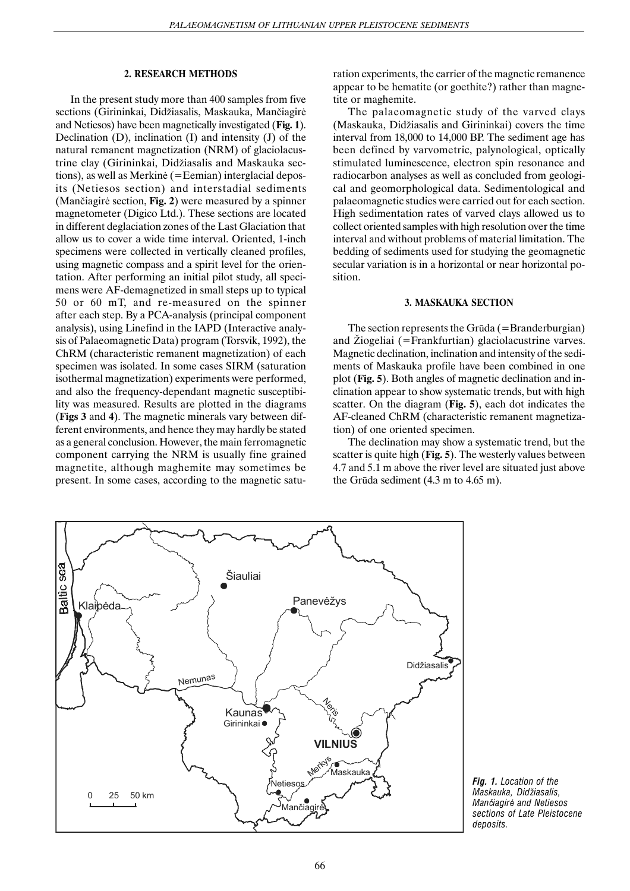## **2. RESEARCH METHODS**

In the present study more than 400 samples from five sections (Girininkai, Didžiasalis, Maskauka, Mančiagirė and Netiesos) have been magnetically investigated (**Fig. 1**). Declination (D), inclination (I) and intensity (J) of the natural remanent magnetization (NRM) of glaciolacustrine clay (Girininkai, Didžiasalis and Maskauka sections), as well as Merkinë (=Eemian) interglacial deposits (Netiesos section) and interstadial sediments (Manèiagirë section, **Fig. 2**) were measured by a spinner magnetometer (Digico Ltd.). These sections are located in different deglaciation zones of the Last Glaciation that allow us to cover a wide time interval. Oriented, 1-inch specimens were collected in vertically cleaned profiles, using magnetic compass and a spirit level for the orientation. After performing an initial pilot study, all specimens were AF-demagnetized in small steps up to typical 50 or 60 mT, and re-measured on the spinner after each step. By a PCA-analysis (principal component analysis), using Linefind in the IAPD (Interactive analysis of Palaeomagnetic Data) program (Torsvik, 1992), the ChRM (characteristic remanent magnetization) of each specimen was isolated. In some cases SIRM (saturation isothermal magnetization) experiments were performed, and also the frequency-dependant magnetic susceptibility was measured. Results are plotted in the diagrams (**Figs 3** and **4**). The magnetic minerals vary between different environments, and hence they may hardly be stated as a general conclusion. However, the main ferromagnetic component carrying the NRM is usually fine grained magnetite, although maghemite may sometimes be present. In some cases, according to the magnetic saturation experiments, the carrier of the magnetic remanence appear to be hematite (or goethite?) rather than magnetite or maghemite.

The palaeomagnetic study of the varved clays (Maskauka, Didžiasalis and Girininkai) covers the time interval from 18,000 to 14,000 BP. The sediment age has been defined by varvometric, palynological, optically stimulated luminescence, electron spin resonance and radiocarbon analyses as well as concluded from geological and geomorphological data. Sedimentological and palaeomagnetic studies were carried out for each section. High sedimentation rates of varved clays allowed us to collect oriented samples with high resolution over the time interval and without problems of material limitation. The bedding of sediments used for studying the geomagnetic secular variation is in a horizontal or near horizontal position.

## **3. MASKAUKA SECTION**

The section represents the Grūda (=Branderburgian) and Žiogeliai ( $=$ Frankfurtian) glaciolacustrine varves. Magnetic declination, inclination and intensity of the sediments of Maskauka profile have been combined in one plot (**Fig. 5**). Both angles of magnetic declination and inclination appear to show systematic trends, but with high scatter. On the diagram (**Fig. 5**), each dot indicates the AF-cleaned ChRM (characteristic remanent magnetization) of one oriented specimen.

The declination may show a systematic trend, but the scatter is quite high (**Fig. 5**). The westerly values between 4.7 and 5.1 m above the river level are situated just above the Grûda sediment (4.3 m to 4.65 m).



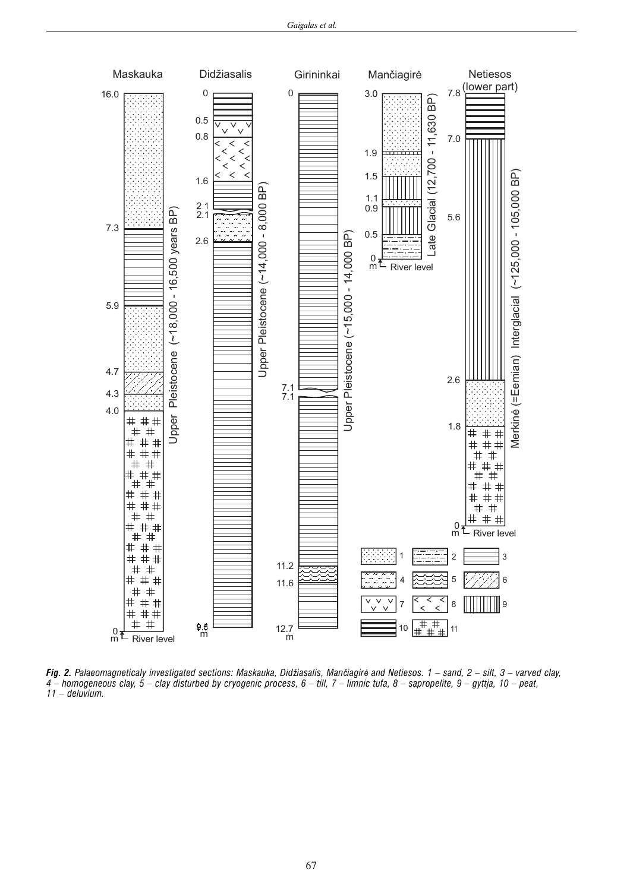

*Fig. 2. Palaeomagneticaly investigated sections: Maskauka, Did*þ*iasalis, Man*è*iagir*ë *and Netiesos. 1 – sand, 2 – silt, 3 – varved clay, 4 – homogeneous clay, 5 – clay disturbed by cryogenic process, 6 – till, 7 – limnic tufa, 8 – sapropelite, 9 – gyttja, 10 – peat, 11 – deluvium.*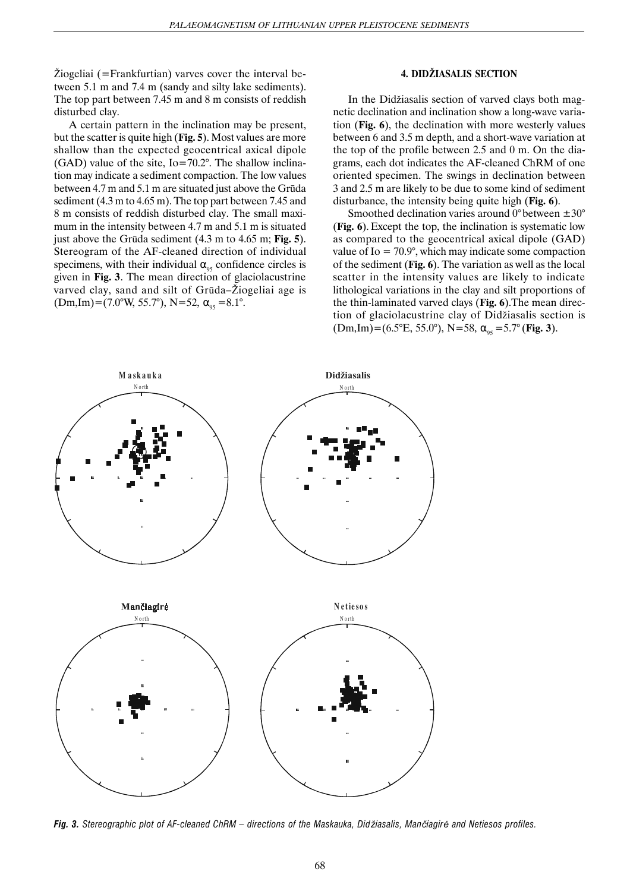$\check{Z}$ iogeliai (=Frankfurtian) varves cover the interval between 5.1 m and 7.4 m (sandy and silty lake sediments). The top part between 7.45 m and 8 m consists of reddish disturbed clay.

A certain pattern in the inclination may be present, but the scatter is quite high (**Fig. 5**). Most values are more shallow than the expected geocentrical axical dipole  $(GAD)$  value of the site, Io=70.2°. The shallow inclination may indicate a sediment compaction. The low values between 4.7 m and 5.1 m are situated just above the Grûda sediment (4.3 m to 4.65 m). The top part between 7.45 and 8 m consists of reddish disturbed clay. The small maximum in the intensity between 4.7 m and 5.1 m is situated just above the Grûda sediment (4.3 m to 4.65 m; **Fig. 5**). Stereogram of the AF-cleaned direction of individual specimens, with their individual  $\alpha_{05}$  confidence circles is given in **Fig. 3**. The mean direction of glaciolacustrine varved clay, sand and silt of Grūda–Žiogeliai age is  $(Dm, Im) = (7.0^{\circ} W, 55.7^{\circ}), N = 52, \alpha_{.95} = 8.1^{\circ}.$ 

## **4. DID**Þ**IASALIS SECTION**

In the Didžiasalis section of varved clays both magnetic declination and inclination show a long-wave variation (**Fig. 6**), the declination with more westerly values between 6 and 3.5 m depth, and a short-wave variation at the top of the profile between 2.5 and 0 m. On the diagrams, each dot indicates the AF-cleaned ChRM of one oriented specimen. The swings in declination between 3 and 2.5 m are likely to be due to some kind of sediment disturbance, the intensity being quite high (**Fig. 6**).

Smoothed declination varies around  $0^{\circ}$  between  $\pm 30^{\circ}$ (**Fig. 6**).Except the top, the inclination is systematic low as compared to the geocentrical axical dipole (GAD) value of Io  $= 70.9^{\circ}$ , which may indicate some compaction of the sediment (**Fig. 6**). The variation as well as the local scatter in the intensity values are likely to indicate lithological variations in the clay and silt proportions of the thin-laminated varved clays (**Fig. 6**).The mean direction of glaciolacustrine clay of Didžiasalis section is  $(Dm, Im) = (6.5^{\circ}E, 55.0^{\circ}), N = 58, \alpha_{0.5} = 5.7^{\circ}$  (Fig. 3).



*Fig.* 3. Stereographic plot of AF-cleaned ChRM – directions of the Maskauka, Didžiasalis, Mančiagirė and Netiesos profiles.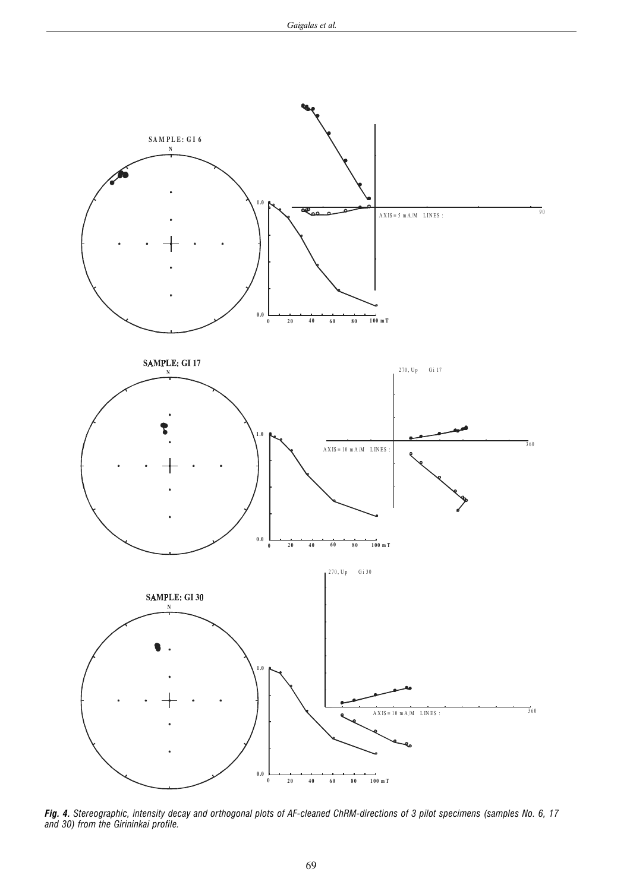

*Fig. 4. Stereographic, intensity decay and orthogonal plots of AF-cleaned ChRM-directions of 3 pilot specimens (samples No. 6, 17 and 30) from the Girininkai profile.*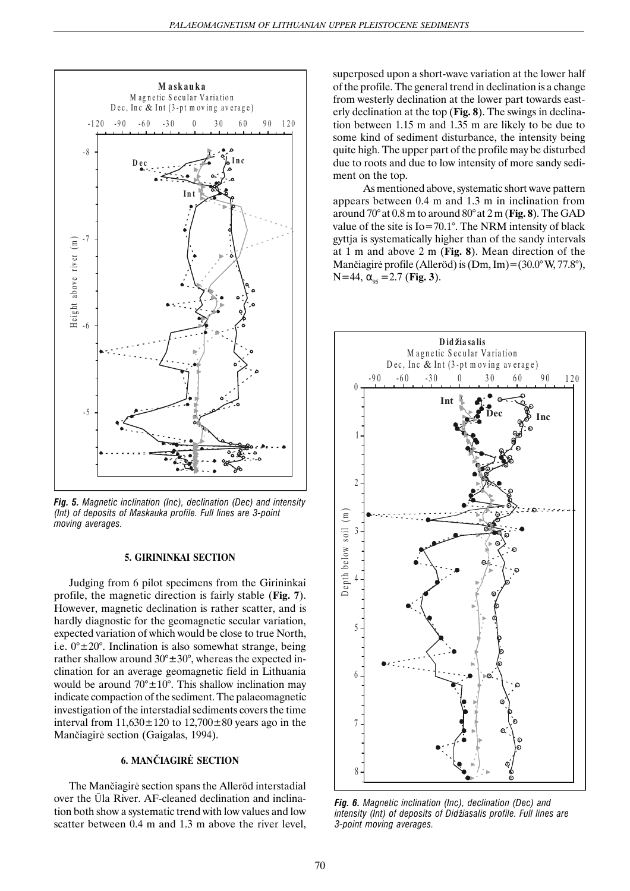

*Fig. 5. Magnetic inclination (Inc), declination (Dec) and intensity (Int) of deposits of Maskauka profile. Full lines are 3-point moving averages.*

#### **5. GIRININKAI SECTION**

Judging from 6 pilot specimens from the Girininkai profile, the magnetic direction is fairly stable (**Fig. 7**). However, magnetic declination is rather scatter, and is hardly diagnostic for the geomagnetic secular variation, expected variation of which would be close to true North, i.e.  $0^{\circ} \pm 20^{\circ}$ . Inclination is also somewhat strange, being rather shallow around  $30^{\circ} \pm 30^{\circ}$ , whereas the expected inclination for an average geomagnetic field in Lithuania would be around  $70^{\circ} \pm 10^{\circ}$ . This shallow inclination may indicate compaction of the sediment. The palaeomagnetic investigation of the interstadial sediments covers the time interval from  $11,630 \pm 120$  to  $12,700 \pm 80$  years ago in the Manèiagirë section (Gaigalas, 1994).

## **6. MAN**È**IAGIR**Ë **SECTION**

The Manèiagirë section spans the Alleröd interstadial over the Ûla River. AF-cleaned declination and inclination both show a systematic trend with low values and low scatter between 0.4 m and 1.3 m above the river level, superposed upon a short-wave variation at the lower half of the profile. The general trend in declination is a change from westerly declination at the lower part towards easterly declination at the top (**Fig. 8**). The swings in declination between 1.15 m and 1.35 m are likely to be due to some kind of sediment disturbance, the intensity being quite high. The upper part of the profile may be disturbed due to roots and due to low intensity of more sandy sediment on the top.

As mentioned above, systematic short wave pattern appears between 0.4 m and 1.3 m in inclination from around 70°at 0.8 m to around 80°at 2 m (**Fig. 8**). The GAD value of the site is Io=70.1°. The NRM intensity of black gyttja is systematically higher than of the sandy intervals at 1 m and above 2 m (**Fig. 8**). Mean direction of the Manèiagirë profile (Alleröd) is (Dm, Im)=(30.0°W, 77.8°),  $N=44$ ,  $\alpha_{05} = 2.7$  (Fig. 3).



*Fig. 6. Magnetic inclination (Inc), declination (Dec) and intensity (Int) of deposits of Didžiasalis profile. Full lines are 3-point moving averages.*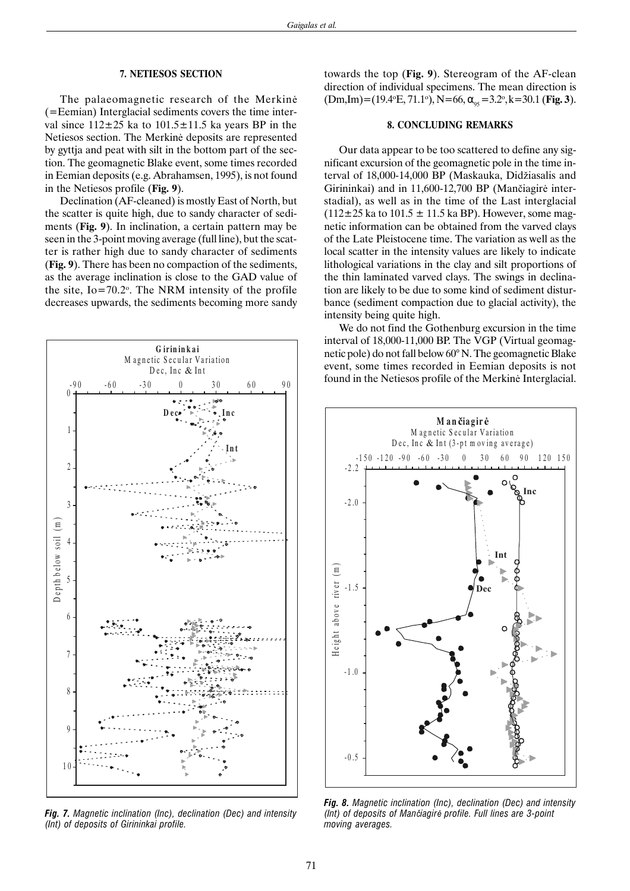## **7. NETIESOS SECTION**

The palaeomagnetic research of the Merkinë (=Eemian) Interglacial sediments covers the time interval since  $112\pm25$  ka to  $101.5\pm11.5$  ka years BP in the Netiesos section. The Merkinë deposits are represented by gyttja and peat with silt in the bottom part of the section. The geomagnetic Blake event, some times recorded in Eemian deposits (e.g. Abrahamsen, 1995), is not found in the Netiesos profile (**Fig. 9**).

Declination (AF-cleaned) is mostly East of North, but the scatter is quite high, due to sandy character of sediments (**Fig. 9**). In inclination, a certain pattern may be seen in the 3-point moving average (full line), but the scatter is rather high due to sandy character of sediments (**Fig. 9**). There has been no compaction of the sediments, as the average inclination is close to the GAD value of the site,  $Io = 70.2^{\circ}$ . The NRM intensity of the profile decreases upwards, the sediments becoming more sandy



*Fig. 7. Magnetic inclination (Inc), declination (Dec) and intensity (Int) of deposits of Girininkai profile.*

towards the top (**Fig. 9**). Stereogram of the AF-clean direction of individual specimens. The mean direction is  $(Dm, Im) = (19.4 \text{°E}, 71.1 \text{°}), N = 66, \alpha_{95} = 3.2 \text{°}, k = 30.1 \text{ (Fig. 3)}.$ 

## **8. CONCLUDING REMARKS**

Our data appear to be too scattered to define any significant excursion of the geomagnetic pole in the time interval of 18,000-14,000 BP (Maskauka, Didžiasalis and Girininkai) and in 11,600-12,700 BP (Manèiagirë interstadial), as well as in the time of the Last interglacial  $(112\pm25 \text{ ka to } 101.5 \pm 11.5 \text{ ka BP})$ . However, some magnetic information can be obtained from the varved clays of the Late Pleistocene time. The variation as well as the local scatter in the intensity values are likely to indicate lithological variations in the clay and silt proportions of the thin laminated varved clays. The swings in declination are likely to be due to some kind of sediment disturbance (sediment compaction due to glacial activity), the intensity being quite high.

We do not find the Gothenburg excursion in the time interval of 18,000-11,000 BP. The VGP (Virtual geomagnetic pole) do not fall below 60° N. The geomagnetic Blake event, some times recorded in Eemian deposits is not found in the Netiesos profile of the Merkinë Interglacial.



*Fig. 8. Magnetic inclination (Inc), declination (Dec) and intensity (Int) of deposits of Man*è*iagir*ë *profile. Full lines are 3-point moving averages.*